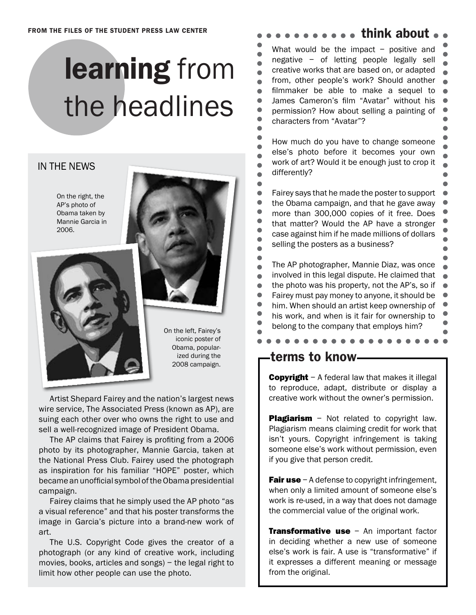## learning from the headlines

### IN THE NEWS

On the right, the AP's photo of Obama taken by Mannie Garcia in 2006.





On the left, Fairey's iconic poster of Obama, popularized during the 2008 campaign.

Artist Shepard Fairey and the nation's largest news wire service, The Associated Press (known as AP), are suing each other over who owns the right to use and sell a well-recognized image of President Obama.

The AP claims that Fairey is profiting from a 2006 photo by its photographer, Mannie Garcia, taken at the National Press Club. Fairey used the photograph as inspiration for his familiar "HOPE" poster, which became an unofficial symbol of the Obama presidential campaign.

Fairey claims that he simply used the AP photo "as a visual reference" and that his poster transforms the image in Garcia's picture into a brand-new work of art.

The U.S. Copyright Code gives the creator of a photograph (or any kind of creative work, including movies, books, articles and songs) – the legal right to limit how other people can use the photo.

### s a a think about

What would be the impact  $-$  positive and negative – of letting people legally sell  $\bullet$ creative works that are based on, or adapted  $\bullet$ from, other people's work? Should another  $\bullet$  $\bullet$ filmmaker be able to make a sequel to  $\bullet$ James Cameron's film "Avatar" without his  $\bullet$ permission? How about selling a painting of  $\bullet$ characters from "Avatar"?  $\bullet$ Ċ How much do you have to change someone  $\bullet$ else's photo before it becomes your own  $\bullet$ work of art? Would it be enough just to crop it  $\bullet$ differently?  $\bullet$  $\bullet$ Fairey says that he made the poster to support  $\bullet$  $\bullet$ the Obama campaign, and that he gave away  $\bullet$ more than 300,000 copies of it free. Does  $\bullet$ that matter? Would the AP have a stronger  $\bullet$ case against him if he made millions of dollars ä selling the posters as a business?  $\bullet$  $\bullet$ The AP photographer, Mannie Diaz, was once  $\bullet$ involved in this legal dispute. He claimed that  $\bullet$ 

the photo was his property, not the AP's, so if  $\bullet$  $\bullet$ Fairey must pay money to anyone, it should be

 $\bullet$ him. When should an artist keep ownership of

 $\bullet$ 

 $\bullet$  $\bullet$ 

- his work, and when is it fair for ownership to
- belong to the company that employs him?

terms to know

 $\bullet$ 

 $\bullet$ 

 $\bullet$ 

 $\bullet$ 

 $\bullet$ 

 $\bullet$ 

 $\bullet$ 

٠

Ċ

 $\bullet$ 

 $\bullet$ 

**Copyright** – A federal law that makes it illegal to reproduce, adapt, distribute or display a creative work without the owner's permission.

**Plagiarism** - Not related to copyright law. Plagiarism means claiming credit for work that isn't yours. Copyright infringement is taking someone else's work without permission, even if you give that person credit.

**Fair use**  $-A$  defense to copyright infringement, when only a limited amount of someone else's work is re-used, in a way that does not damage the commercial value of the original work.

**Transformative use - An important factor** in deciding whether a new use of someone else's work is fair. A use is "transformative" if it expresses a different meaning or message from the original.